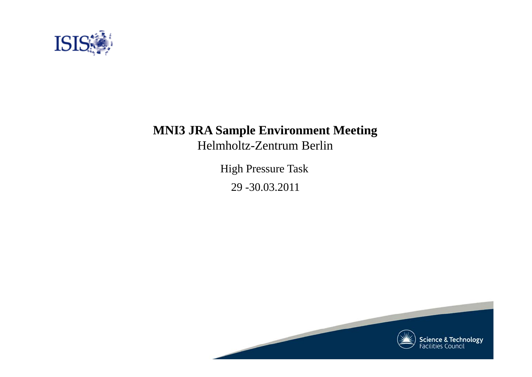

# **MNI3 JRA Sample Environment Meeting**

Helmholtz-Zentrum Berlin

High Pressure Task 29 -30.03.2011

**Science & Technology**<br>Facilities Council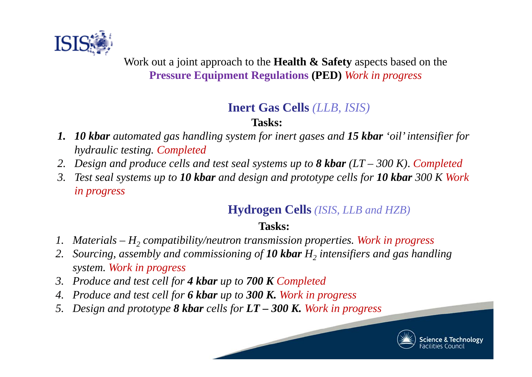

Work out a joint approach to the **Health & Safety** aspects based on the **Pressure Equipment Regulations (PED)** *Work in progress*

# **Inert Gas Cells** *(LLB, ISIS)*

## **Tasks:**

- *1. 10 kbar automated gas handling system for inert gases and 15 kbar 'oil' intensifier for hydraulic testing. Completed*
- *2.Design and produce cells and test seal systems up to 8 kbar (LT – 300 K)*. *Completed*
- *3. Test seal systems up to 10 kbar and design and prototype cells for 10 kbar 300 K Work in progress*

# **Hydrogen Cells** *(ISIS, LLB and HZB)*

# **Tasks:**

- *1. Materials – H2 compatibility/neutron transmission properties. Work in progress*
- *2. Sourcing, assembly and commissioning of 10 kbar H2 intensifiers and gas handling system. Work in progress*
- *3. Produce and test cell for 4 kbar up to 700 K Completed*
- *4.Produce and test cell for 6 kbar up to 300 K. Work in progress*
- *5.Design and prototype 8 kbar cells for LT – 300 K. Work in progress*

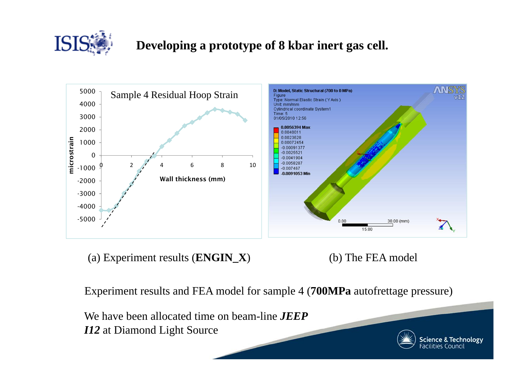

# **Developing a prototype of 8 kbar inert gas cell.**



(a) Experiment results (**ENGIN\_X**) (b) The FEA model

Experiment results and FEA model for sample 4 (**700MPa** autofrettage pressure)

We have been allocated time on beam-line *JEEPI12* at Diamond Light Source



**Science & Technology**<br>Facilities Council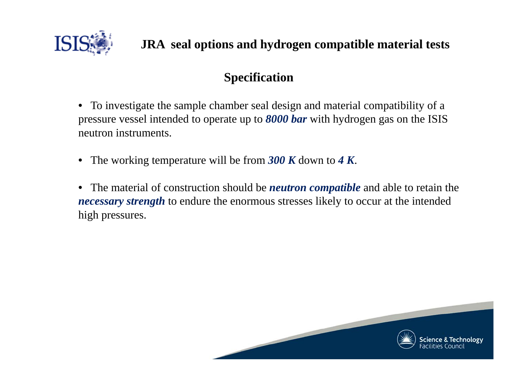

# **Specification**

- $\bullet$  To investigate the sample chamber seal design and material compatibility of a pressure vessel intended to operate up to *8000 bar* with hydrogen gas on the ISIS neutron instruments.
- The working temperature will be from *300 K* down to *4 K*.
- • The material of construction should be *neutron compatible* and able to retain the *necessary strength* to endure the enormous stresses likely to occur at the intended high pressures.

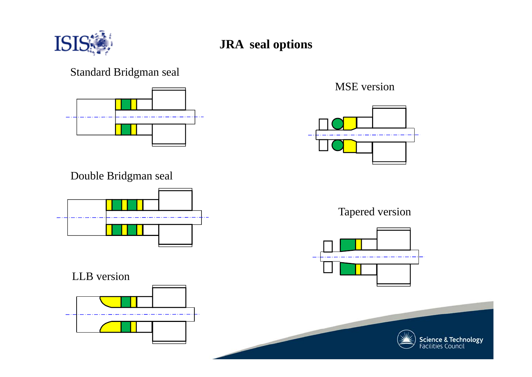

### **JRA seal options**

#### Standard Bridgman seal



Double Bridgman seal



LLB version



MSE version



Tapered version



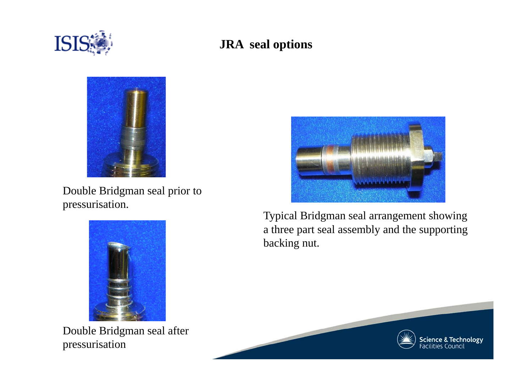

## **JRA seal options**



Double Bridgman seal prior to pressurisation.



Double Bridgman seal after pressurisation



Typical Bridgman seal arrangement showing a three part seal assembly and the supporting backing nut.

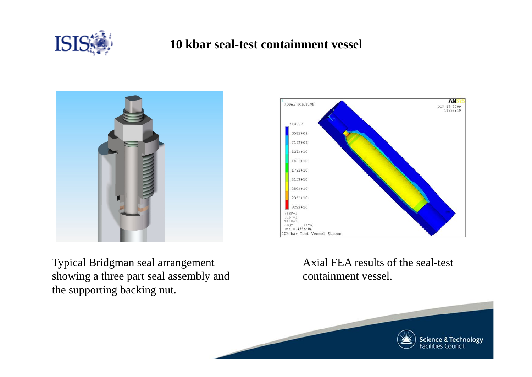

#### **10 kbar seal-test containment vessel**





Typical Bridgman seal arrangement showing a three part seal assembly and the supporting backing nut.

Axial FEA results of the seal-test containment vessel.

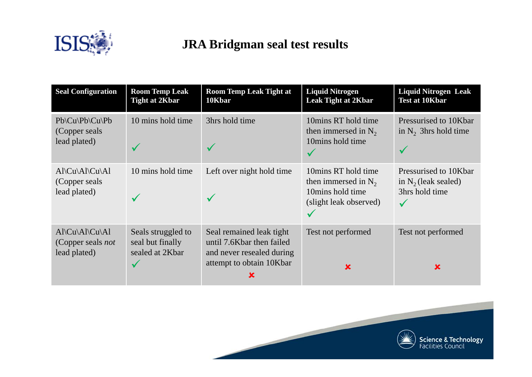

# **JRA Bridgman seal test results**

| <b>Seal Configuration</b>                                                                        | <b>Room Temp Leak</b><br><b>Tight at 2Kbar</b>            | <b>Room Temp Leak Tight at</b><br>10Kbar                                                                       | <b>Liquid Nitrogen</b><br><b>Leak Tight at 2Kbar</b>                                        | <b>Liquid Nitrogen Leak</b><br><b>Test at 10Kbar</b>              |
|--------------------------------------------------------------------------------------------------|-----------------------------------------------------------|----------------------------------------------------------------------------------------------------------------|---------------------------------------------------------------------------------------------|-------------------------------------------------------------------|
| $Pb\setminus Cu\setminus Pb\setminus Cu\setminus Pb$<br>(Copper seals)<br>lead plated)           | 10 mins hold time                                         | 3hrs hold time                                                                                                 | 10 mins RT hold time<br>then immersed in $N_2$<br>10mins hold time                          | Pressurised to 10Kbar<br>in $N_2$ 3hrs hold time                  |
| $Al\Cl\Al\Cl\Al$<br>(Copper seals)<br>lead plated)                                               | 10 mins hold time                                         | Left over night hold time                                                                                      | 10mins RT hold time<br>then immersed in $N_2$<br>10mins hold time<br>(slight leak observed) | Pressurised to 10Kbar<br>in $N_2$ (leak sealed)<br>3hrs hold time |
| $Al\setminus Cl\setminus Al\setminus Cl\setminus Al$<br>(Copper seals <i>not</i><br>lead plated) | Seals struggled to<br>seal but finally<br>sealed at 2Kbar | Seal remained leak tight<br>until 7.6Kbar then failed<br>and never resealed during<br>attempt to obtain 10Kbar | Test not performed<br>X                                                                     | Test not performed<br>x                                           |

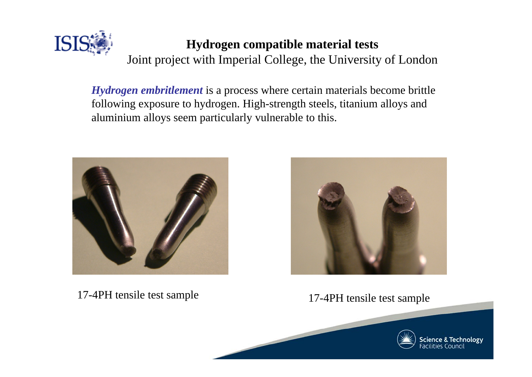

#### **Hydrogen compatible material tests**

Joint project with Imperial College, the University of London

*Hydrogen embritlement* is a process where certain materials become brittle following exposure to hydrogen. High-strength steels, titanium alloys and aluminium alloys seem particularly vulnerable to this.



17-4PH tensile test sample 17-4PH tensile test sample

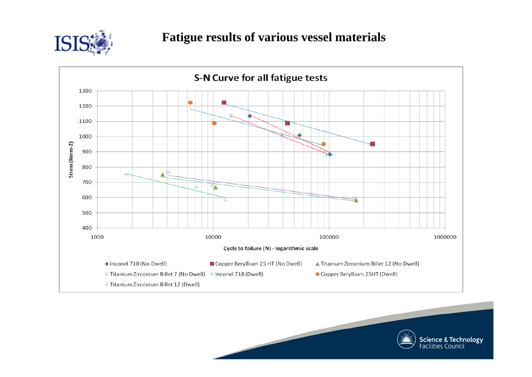



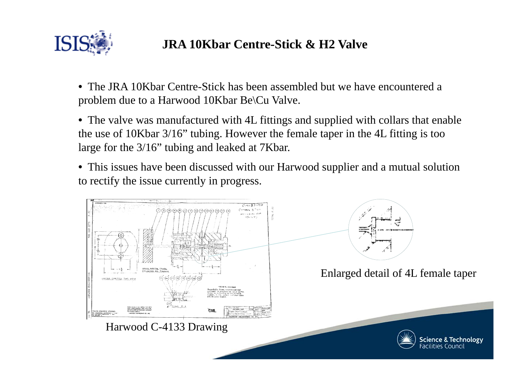

## **JRA 10Kbar Centre-Stick & H2 Valve**

• The JRA 10Kbar Centre-Stick has been assembled but we have encountered a problem due to a Harwood 10Kbar Be\Cu Valve.

• The valve was manufactured with 4L fittings and supplied with collars that enable the use of 10Kbar 3/16" tubing. However the female taper in the 4L fitting is too large for the 3/16" tubing and leaked at 7Kbar.

• This issues have been discussed with our Harwood supplier and a mutual solution to rectify the issue currently in progress.

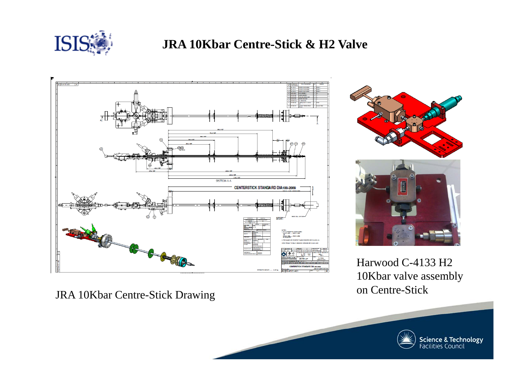

#### **JRA 10Kbar Centre-Stick & H2 Valve**



JRA 10Kbar Centre-Stick Drawing



Harwood C-4133 H2 10Kbar valve assembly on Centre-Stick

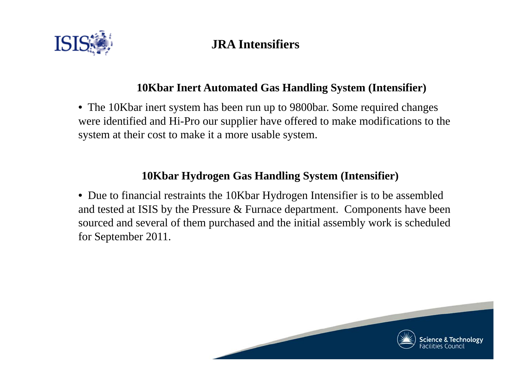

### **JRA Intensifiers**

#### **10Kbar Inert Automated Gas Handling System (Intensifier)**

• The 10Kbar inert system has been run up to 9800bar. Some required changes were identified and Hi-Pro our supplier have offered to make modifications to the system at their cost to make it a more usable system.

#### **10Kbar Hydrogen Gas Handling System (Intensifier)**

• Due to financial restraints the 10Kbar Hydrogen Intensifier is to be assembled and tested at ISIS by the Pressure & Furnace department. Components have been sourced and several of them purchased and the initial assembly work is scheduled for September 2011.